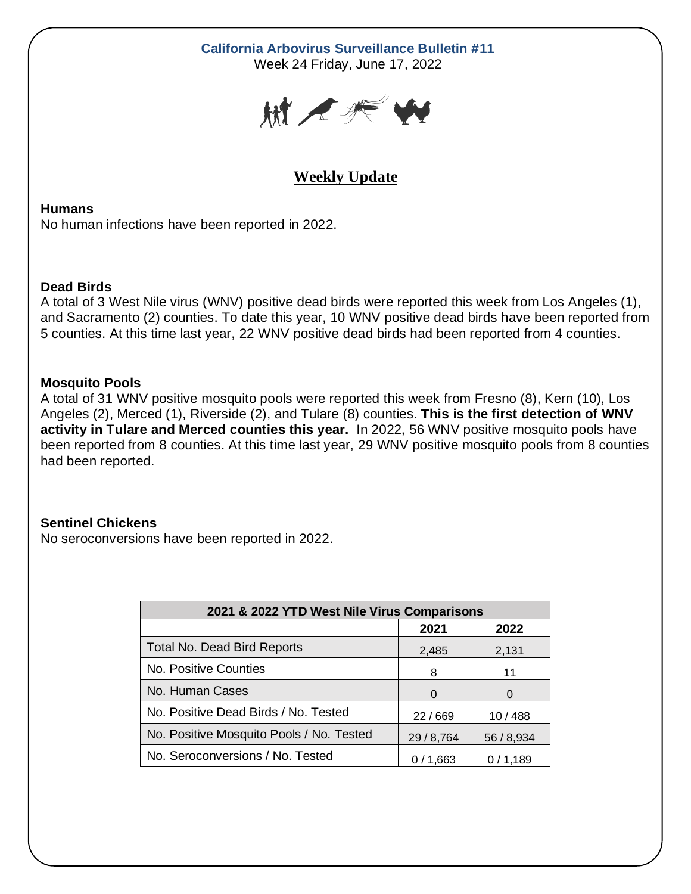# **California Arbovirus Surveillance Bulletin #11**

Week 24 Friday, June 17, 2022



# **Weekly Update**

**Humans** No human infections have been reported in 2022.

## **Dead Birds**

A total of 3 West Nile virus (WNV) positive dead birds were reported this week from Los Angeles (1), and Sacramento (2) counties. To date this year, 10 WNV positive dead birds have been reported from 5 counties. At this time last year, 22 WNV positive dead birds had been reported from 4 counties.

## **Mosquito Pools**

A total of 31 WNV positive mosquito pools were reported this week from Fresno (8), Kern (10), Los Angeles (2), Merced (1), Riverside (2), and Tulare (8) counties. **This is the first detection of WNV activity in Tulare and Merced counties this year.** In 2022, 56 WNV positive mosquito pools have been reported from 8 counties. At this time last year, 29 WNV positive mosquito pools from 8 counties had been reported.

## **Sentinel Chickens**

No seroconversions have been reported in 2022.

| 2021 & 2022 YTD West Nile Virus Comparisons |              |            |  |  |  |  |  |
|---------------------------------------------|--------------|------------|--|--|--|--|--|
|                                             | 2021<br>2022 |            |  |  |  |  |  |
| <b>Total No. Dead Bird Reports</b>          | 2,485        | 2,131      |  |  |  |  |  |
| No. Positive Counties                       | 8            | 11         |  |  |  |  |  |
| No. Human Cases                             | 0            |            |  |  |  |  |  |
| No. Positive Dead Birds / No. Tested        | 22/669       | 10 / 488   |  |  |  |  |  |
| No. Positive Mosquito Pools / No. Tested    | 29 / 8,764   | 56 / 8,934 |  |  |  |  |  |
| No. Seroconversions / No. Tested            | 0/1,663      | 0/1,189    |  |  |  |  |  |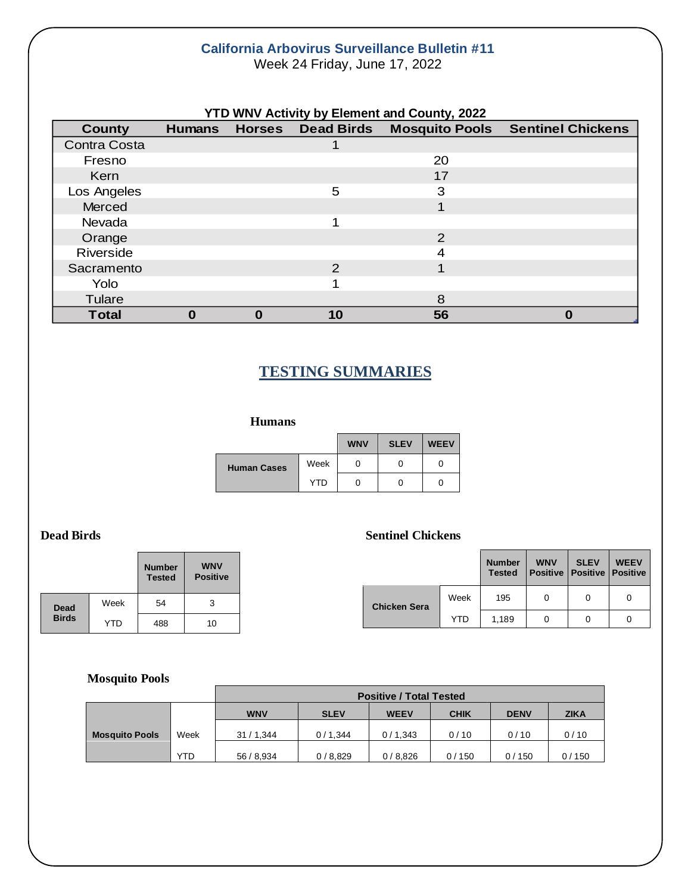#### **California Arbovirus Surveillance Bulletin #11** Week 24 Friday, June 17, 2022

**YTD WNV Activity by Element and County, 2022 County Humans Horses Dead Birds Mosquito Pools Sentinel Chickens** Contra Costa 1 Fresno 20 Kern 17 - 17 April 17 - 17 April 17 April 17 April 17 April 17 April 17 April 17 April 17 April 17 April 17 Ap Los Angeles 3 Merced **1 Merced** 1 **1** Nevada 1 Orange 2 Riverside 4 Sacramento 2 1 Yolo 1 Tulare 8 and 2012 12:00 the state of the state of the state  $\sim$  8 **Total 0 0 10 56 0**

# **TESTING SUMMARIES**

#### **Humans**

|                    |            | <b>WNV</b> | <b>SLEV</b> | <b>WEEV</b> |
|--------------------|------------|------------|-------------|-------------|
| <b>Human Cases</b> | Week       |            | O           |             |
|                    | <b>YTD</b> |            | O           |             |

## **Dead Birds** Sentinel Chickens

|              |            | <b>Number</b><br><b>Tested</b> | <b>WNV</b><br><b>Positive</b> |                     |      | <b>Number</b><br><b>Tested</b> | <b>WNV</b> | <b>SLEV</b><br><b>Positive   Positive   Positive</b> | <b>WEEV</b> |
|--------------|------------|--------------------------------|-------------------------------|---------------------|------|--------------------------------|------------|------------------------------------------------------|-------------|
| <b>Dead</b>  | Week       | 54                             | 2<br>ັ                        | <b>Chicken Sera</b> | Week | 195                            | 0          |                                                      | 0           |
| <b>Birds</b> | <b>YTD</b> | 488                            | 10                            |                     | YTD  | 1,189                          | 0          |                                                      | 0           |

#### **Mosquito Pools**

|                       |            | <b>Positive / Total Tested</b> |             |             |             |             |             |  |
|-----------------------|------------|--------------------------------|-------------|-------------|-------------|-------------|-------------|--|
|                       |            | <b>WNV</b>                     | <b>SLEV</b> | <b>WEEV</b> | <b>CHIK</b> | <b>DENV</b> | <b>ZIKA</b> |  |
| <b>Mosquito Pools</b> | Week       | 31 / 1,344                     | 0/1,344     | 0/1,343     | 0/10        | 0/10        | 0/10        |  |
|                       | <b>YTD</b> | 56 / 8,934                     | 0/8,829     | 0/8,826     | 0/150       | 0/150       | 0/150       |  |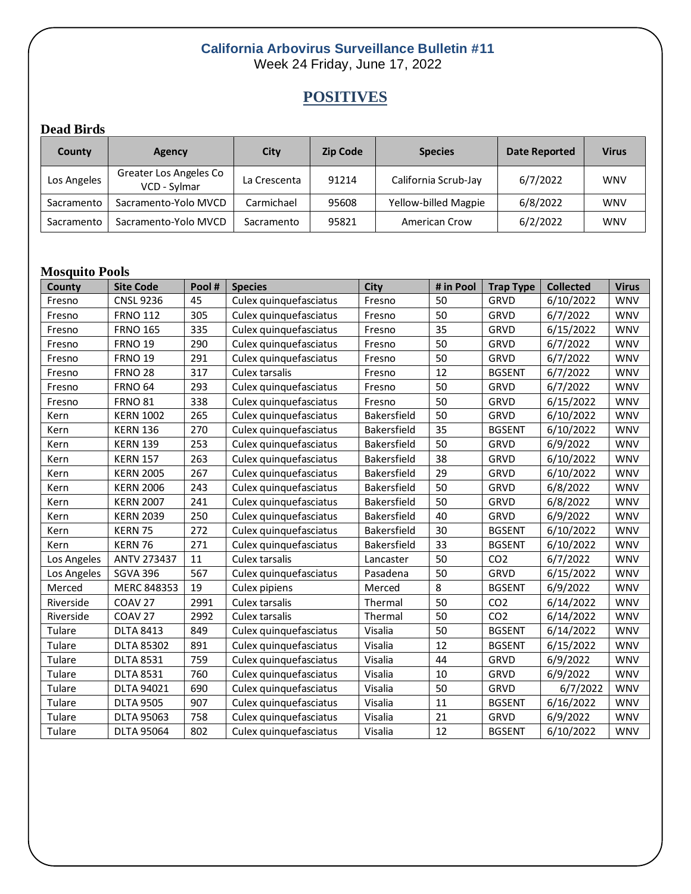## **California Arbovirus Surveillance Bulletin #11** Week 24 Friday, June 17, 2022

# **POSITIVES**

## **Dead Birds**

| County      | Agency                                 | City         | <b>Zip Code</b> | <b>Species</b>       | <b>Date Reported</b> | <b>Virus</b> |
|-------------|----------------------------------------|--------------|-----------------|----------------------|----------------------|--------------|
| Los Angeles | Greater Los Angeles Co<br>VCD - Sylmar | La Crescenta | 91214           | California Scrub-Jay | 6/7/2022             | <b>WNV</b>   |
| Sacramento  | Sacramento-Yolo MVCD                   | Carmichael   | 95608           | Yellow-billed Magpie | 6/8/2022             | <b>WNV</b>   |
| Sacramento  | Sacramento-Yolo MVCD                   | Sacramento   | 95821           | American Crow        | 6/2/2022             | <b>WNV</b>   |

## **Mosquito Pools**

| County      | <b>Site Code</b>   | Pool# | <b>Species</b>         | <b>City</b> | # in Pool | <b>Trap Type</b> | <b>Collected</b> | <b>Virus</b> |
|-------------|--------------------|-------|------------------------|-------------|-----------|------------------|------------------|--------------|
| Fresno      | <b>CNSL 9236</b>   | 45    | Culex quinquefasciatus | Fresno      | 50        | <b>GRVD</b>      | 6/10/2022        | <b>WNV</b>   |
| Fresno      | <b>FRNO 112</b>    | 305   | Culex quinquefasciatus | Fresno      | 50        | GRVD             | 6/7/2022         | <b>WNV</b>   |
| Fresno      | <b>FRNO 165</b>    | 335   | Culex quinquefasciatus | Fresno      | 35        | GRVD             | 6/15/2022        | <b>WNV</b>   |
| Fresno      | <b>FRNO 19</b>     | 290   | Culex quinquefasciatus | Fresno      | 50        | GRVD             | 6/7/2022         | <b>WNV</b>   |
| Fresno      | <b>FRNO 19</b>     | 291   | Culex quinquefasciatus | Fresno      | 50        | GRVD             | 6/7/2022         | <b>WNV</b>   |
| Fresno      | <b>FRNO 28</b>     | 317   | Culex tarsalis         | Fresno      | 12        | <b>BGSENT</b>    | 6/7/2022         | <b>WNV</b>   |
| Fresno      | <b>FRNO 64</b>     | 293   | Culex quinquefasciatus | Fresno      | 50        | GRVD             | 6/7/2022         | <b>WNV</b>   |
| Fresno      | <b>FRNO 81</b>     | 338   | Culex quinquefasciatus | Fresno      | 50        | GRVD             | 6/15/2022        | <b>WNV</b>   |
| Kern        | <b>KERN 1002</b>   | 265   | Culex quinquefasciatus | Bakersfield | 50        | <b>GRVD</b>      | 6/10/2022        | <b>WNV</b>   |
| Kern        | <b>KERN 136</b>    | 270   | Culex quinquefasciatus | Bakersfield | 35        | <b>BGSENT</b>    | 6/10/2022        | <b>WNV</b>   |
| Kern        | <b>KERN 139</b>    | 253   | Culex quinquefasciatus | Bakersfield | 50        | GRVD             | 6/9/2022         | <b>WNV</b>   |
| Kern        | <b>KERN 157</b>    | 263   | Culex quinquefasciatus | Bakersfield | 38        | GRVD             | 6/10/2022        | <b>WNV</b>   |
| Kern        | <b>KERN 2005</b>   | 267   | Culex quinquefasciatus | Bakersfield | 29        | GRVD             | 6/10/2022        | <b>WNV</b>   |
| Kern        | <b>KERN 2006</b>   | 243   | Culex quinquefasciatus | Bakersfield | 50        | GRVD             | 6/8/2022         | <b>WNV</b>   |
| Kern        | <b>KERN 2007</b>   | 241   | Culex quinquefasciatus | Bakersfield | 50        | GRVD             | 6/8/2022         | <b>WNV</b>   |
| Kern        | <b>KERN 2039</b>   | 250   | Culex quinquefasciatus | Bakersfield | 40        | GRVD             | 6/9/2022         | <b>WNV</b>   |
| Kern        | KERN 75            | 272   | Culex quinquefasciatus | Bakersfield | 30        | <b>BGSENT</b>    | 6/10/2022        | <b>WNV</b>   |
| Kern        | KERN 76            | 271   | Culex quinquefasciatus | Bakersfield | 33        | <b>BGSENT</b>    | 6/10/2022        | <b>WNV</b>   |
| Los Angeles | ANTV 273437        | 11    | Culex tarsalis         | Lancaster   | 50        | CO <sub>2</sub>  | 6/7/2022         | <b>WNV</b>   |
| Los Angeles | <b>SGVA 396</b>    | 567   | Culex quinquefasciatus | Pasadena    | 50        | GRVD             | 6/15/2022        | <b>WNV</b>   |
| Merced      | MERC 848353        | 19    | Culex pipiens          | Merced      | 8         | <b>BGSENT</b>    | 6/9/2022         | <b>WNV</b>   |
| Riverside   | COAV <sub>27</sub> | 2991  | Culex tarsalis         | Thermal     | 50        | CO <sub>2</sub>  | 6/14/2022        | <b>WNV</b>   |
| Riverside   | COAV <sub>27</sub> | 2992  | Culex tarsalis         | Thermal     | 50        | CO <sub>2</sub>  | 6/14/2022        | <b>WNV</b>   |
| Tulare      | <b>DLTA 8413</b>   | 849   | Culex quinquefasciatus | Visalia     | 50        | <b>BGSENT</b>    | 6/14/2022        | <b>WNV</b>   |
| Tulare      | <b>DLTA 85302</b>  | 891   | Culex quinquefasciatus | Visalia     | 12        | <b>BGSENT</b>    | 6/15/2022        | <b>WNV</b>   |
| Tulare      | <b>DLTA 8531</b>   | 759   | Culex quinquefasciatus | Visalia     | 44        | <b>GRVD</b>      | 6/9/2022         | <b>WNV</b>   |
| Tulare      | <b>DLTA 8531</b>   | 760   | Culex quinquefasciatus | Visalia     | 10        | GRVD             | 6/9/2022         | <b>WNV</b>   |
| Tulare      | <b>DLTA 94021</b>  | 690   | Culex quinquefasciatus | Visalia     | 50        | GRVD             | 6/7/2022         | <b>WNV</b>   |
| Tulare      | <b>DLTA 9505</b>   | 907   | Culex quinquefasciatus | Visalia     | 11        | <b>BGSENT</b>    | 6/16/2022        | <b>WNV</b>   |
| Tulare      | <b>DLTA 95063</b>  | 758   | Culex quinquefasciatus | Visalia     | 21        | <b>GRVD</b>      | 6/9/2022         | <b>WNV</b>   |
| Tulare      | <b>DLTA 95064</b>  | 802   | Culex quinquefasciatus | Visalia     | 12        | <b>BGSENT</b>    | 6/10/2022        | <b>WNV</b>   |